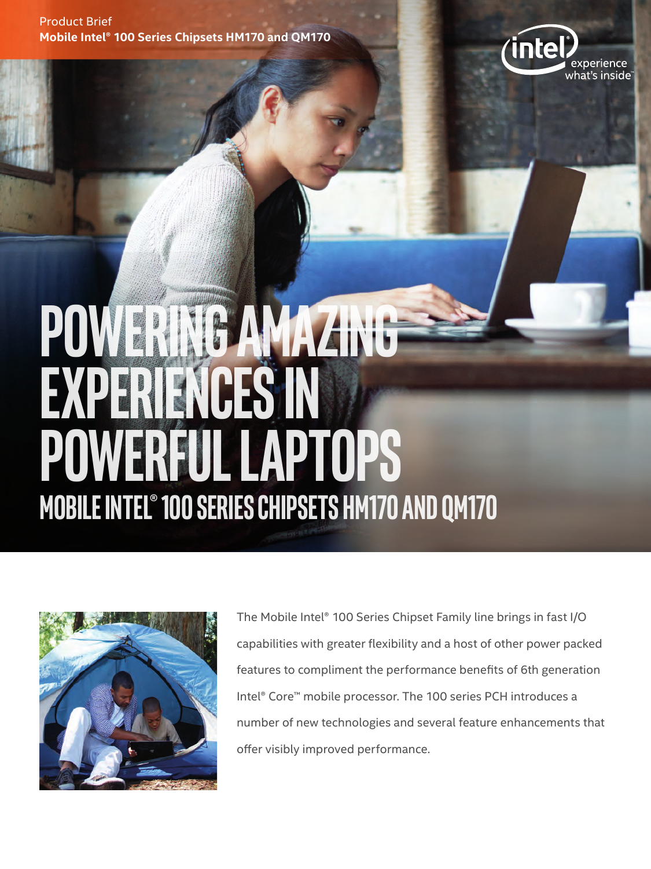Product Brief **Mobile Intel® 100 Series Chipsets HM170 and QM170**



## **Powering amazing experience powerful laptops Mobile Intel® 100 Series Chipsets Hm170 and QM170**



The Mobile Intel® 100 Series Chipset Family line brings in fast I/O capabilities with greater flexibility and a host of other power packed features to compliment the performance benefits of 6th generation Intel® Core™ mobile processor. The 100 series PCH introduces a number of new technologies and several feature enhancements that offer visibly improved performance.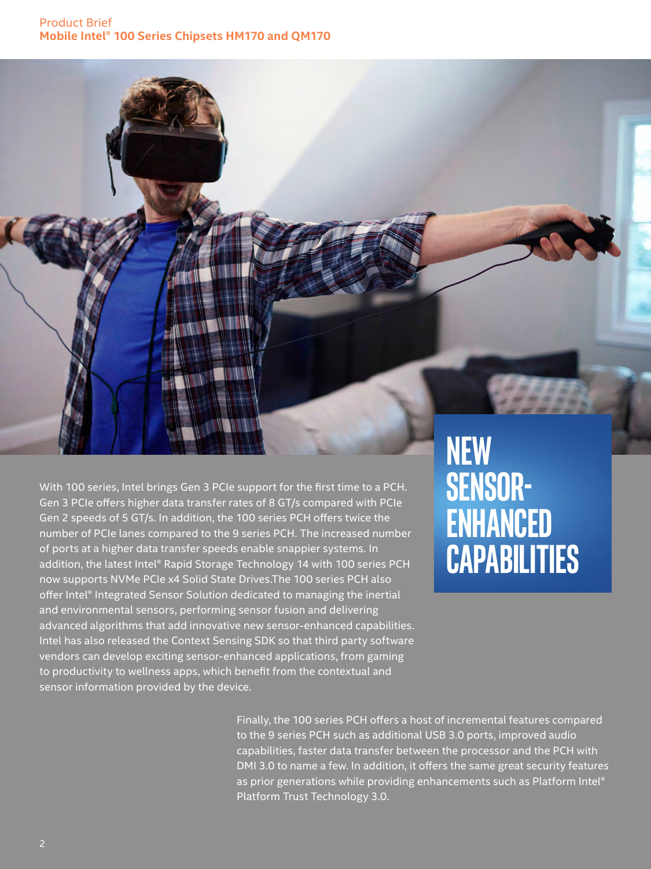

With 100 series, Intel brings Gen 3 PCIe support for the first time to a PCH. Gen 3 PCIe offers higher data transfer rates of 8 GT/s compared with PCIe Gen 2 speeds of 5 GT/s. In addition, the 100 series PCH offers twice the number of PCIe lanes compared to the 9 series PCH. The increased number of ports at a higher data transfer speeds enable snappier systems. In addition, the latest Intel® Rapid Storage Technology 14 with 100 series PCH now supports NVMe PCIe x4 Solid State Drives.The 100 series PCH also offer Intel® Integrated Sensor Solution dedicated to managing the inertial and environmental sensors, performing sensor fusion and delivering advanced algorithms that add innovative new sensor-enhanced capabilities. Intel has also released the Context Sensing SDK so that third party software vendors can develop exciting sensor-enhanced applications, from gaming to productivity to wellness apps, which benefit from the contextual and sensor information provided by the device.

## **New Sensorenhanced capabilities**

Finally, the 100 series PCH offers a host of incremental features compared to the 9 series PCH such as additional USB 3.0 ports, improved audio capabilities, faster data transfer between the processor and the PCH with DMI 3.0 to name a few. In addition, it offers the same great security features as prior generations while providing enhancements such as Platform Intel® Platform Trust Technology 3.0.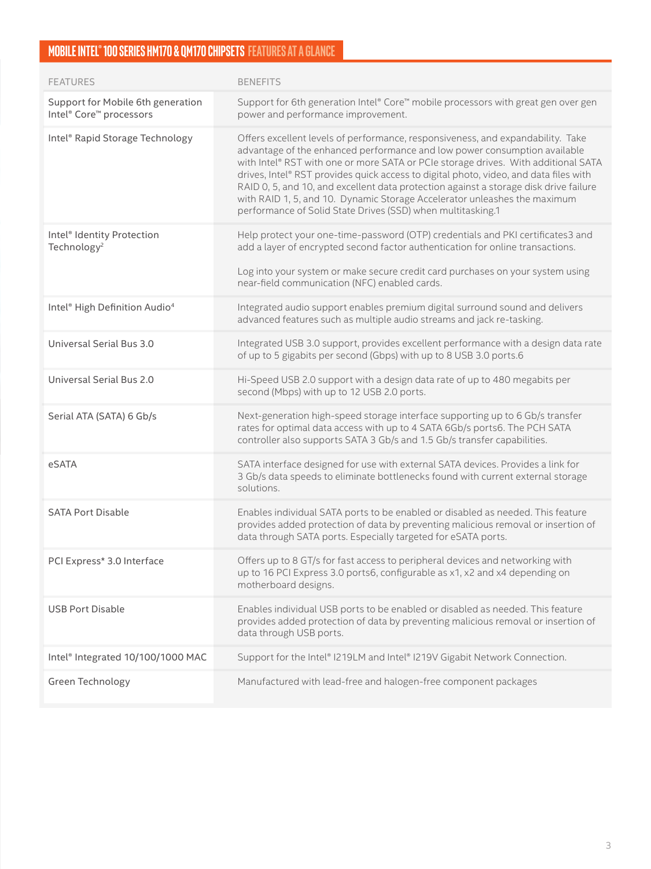## **MOBILE INTEL ® 100 SERIE S HM170 & QM170 CHIPSET S FEAT URE S ATA GLA NCE**

| <b>FEATURES</b>                                                   | <b>BENEFITS</b>                                                                                                                                                                                                                                                                                                                                                                                                                                                                                                                                                                  |
|-------------------------------------------------------------------|----------------------------------------------------------------------------------------------------------------------------------------------------------------------------------------------------------------------------------------------------------------------------------------------------------------------------------------------------------------------------------------------------------------------------------------------------------------------------------------------------------------------------------------------------------------------------------|
| Support for Mobile 6th generation<br>Intel® Core™ processors      | Support for 6th generation Intel® Core™ mobile processors with great gen over gen<br>power and performance improvement.                                                                                                                                                                                                                                                                                                                                                                                                                                                          |
| Intel® Rapid Storage Technology                                   | Offers excellent levels of performance, responsiveness, and expandability. Take<br>advantage of the enhanced performance and low power consumption available<br>with Intel® RST with one or more SATA or PCIe storage drives. With additional SATA<br>drives, Intel® RST provides quick access to digital photo, video, and data files with<br>RAID 0, 5, and 10, and excellent data protection against a storage disk drive failure<br>with RAID 1, 5, and 10. Dynamic Storage Accelerator unleashes the maximum<br>performance of Solid State Drives (SSD) when multitasking.1 |
| Intel <sup>®</sup> Identity Protection<br>Technology <sup>2</sup> | Help protect your one-time-password (OTP) credentials and PKI certificates3 and<br>add a layer of encrypted second factor authentication for online transactions.<br>Log into your system or make secure credit card purchases on your system using<br>near-field communication (NFC) enabled cards.                                                                                                                                                                                                                                                                             |
| Intel <sup>®</sup> High Definition Audio <sup>4</sup>             | Integrated audio support enables premium digital surround sound and delivers<br>advanced features such as multiple audio streams and jack re-tasking.                                                                                                                                                                                                                                                                                                                                                                                                                            |
| Universal Serial Bus 3.0                                          | Integrated USB 3.0 support, provides excellent performance with a design data rate<br>of up to 5 gigabits per second (Gbps) with up to 8 USB 3.0 ports.6                                                                                                                                                                                                                                                                                                                                                                                                                         |
| Universal Serial Bus 2.0                                          | Hi-Speed USB 2.0 support with a design data rate of up to 480 megabits per<br>second (Mbps) with up to 12 USB 2.0 ports.                                                                                                                                                                                                                                                                                                                                                                                                                                                         |
| Serial ATA (SATA) 6 Gb/s                                          | Next-generation high-speed storage interface supporting up to 6 Gb/s transfer<br>rates for optimal data access with up to 4 SATA 6Gb/s ports6. The PCH SATA<br>controller also supports SATA 3 Gb/s and 1.5 Gb/s transfer capabilities.                                                                                                                                                                                                                                                                                                                                          |
| eSATA                                                             | SATA interface designed for use with external SATA devices. Provides a link for<br>3 Gb/s data speeds to eliminate bottlenecks found with current external storage<br>solutions.                                                                                                                                                                                                                                                                                                                                                                                                 |
| <b>SATA Port Disable</b>                                          | Enables individual SATA ports to be enabled or disabled as needed. This feature<br>provides added protection of data by preventing malicious removal or insertion of<br>data through SATA ports. Especially targeted for eSATA ports.                                                                                                                                                                                                                                                                                                                                            |
| PCI Express* 3.0 Interface                                        | Offers up to 8 GT/s for fast access to peripheral devices and networking with<br>up to 16 PCI Express 3.0 ports6, configurable as x1, x2 and x4 depending on<br>motherboard designs.                                                                                                                                                                                                                                                                                                                                                                                             |
| <b>USB Port Disable</b>                                           | Enables individual USB ports to be enabled or disabled as needed. This feature<br>provides added protection of data by preventing malicious removal or insertion of<br>data through USB ports.                                                                                                                                                                                                                                                                                                                                                                                   |
| Intel® Integrated 10/100/1000 MAC                                 | Support for the Intel® I219LM and Intel® I219V Gigabit Network Connection.                                                                                                                                                                                                                                                                                                                                                                                                                                                                                                       |
| Green Technology                                                  | Manufactured with lead-free and halogen-free component packages                                                                                                                                                                                                                                                                                                                                                                                                                                                                                                                  |